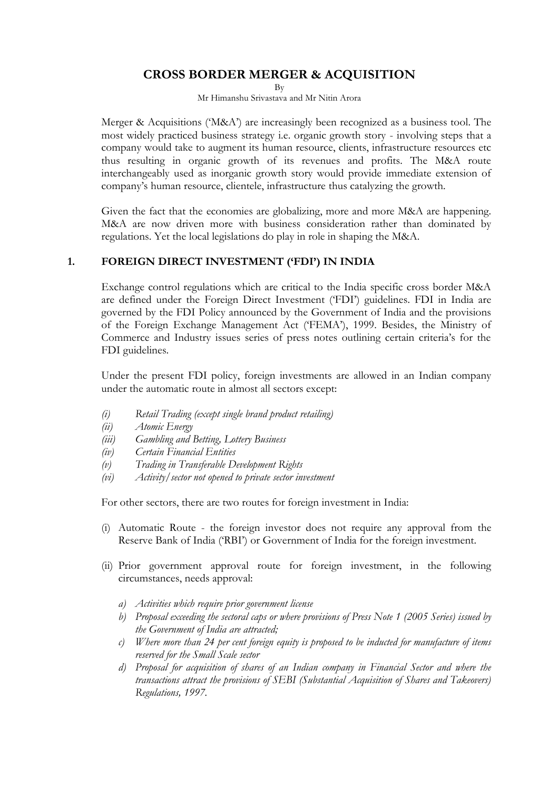# **CROSS BORDER MERGER & ACQUISITION**

By

Mr Himanshu Srivastava and Mr Nitin Arora

Merger & Acquisitions ("M&A") are increasingly been recognized as a business tool. The most widely practiced business strategy i.e. organic growth story - involving steps that a company would take to augment its human resource, clients, infrastructure resources etc thus resulting in organic growth of its revenues and profits. The M&A route interchangeably used as inorganic growth story would provide immediate extension of company"s human resource, clientele, infrastructure thus catalyzing the growth.

Given the fact that the economies are globalizing, more and more M&A are happening. M&A are now driven more with business consideration rather than dominated by regulations. Yet the local legislations do play in role in shaping the M&A.

### **1. FOREIGN DIRECT INVESTMENT ('FDI') IN INDIA**

Exchange control regulations which are critical to the India specific cross border M&A are defined under the Foreign Direct Investment ("FDI") guidelines. FDI in India are governed by the FDI Policy announced by the Government of India and the provisions of the Foreign Exchange Management Act ("FEMA"), 1999. Besides, the Ministry of Commerce and Industry issues series of press notes outlining certain criteria's for the FDI guidelines.

Under the present FDI policy, foreign investments are allowed in an Indian company under the automatic route in almost all sectors except:

- *(i) Retail Trading (except single brand product retailing)*
- *(ii) Atomic Energy*
- *(iii) Gambling and Betting, Lottery Business*
- *(iv) Certain Financial Entities*
- *(v) Trading in Transferable Development Rights*
- *(vi) Activity/sector not opened to private sector investment*

For other sectors, there are two routes for foreign investment in India:

- (i) Automatic Route the foreign investor does not require any approval from the Reserve Bank of India ("RBI") or Government of India for the foreign investment.
- (ii) Prior government approval route for foreign investment, in the following circumstances, needs approval:
	- *a) Activities which require prior government license*
	- *b) Proposal exceeding the sectoral caps or where provisions of Press Note 1 (2005 Series) issued by the Government of India are attracted;*
	- *c) Where more than 24 per cent foreign equity is proposed to be inducted for manufacture of items reserved for the Small Scale sector*
	- *d) Proposal for acquisition of shares of an Indian company in Financial Sector and where the transactions attract the provisions of SEBI (Substantial Acquisition of Shares and Takeovers) Regulations, 1997.*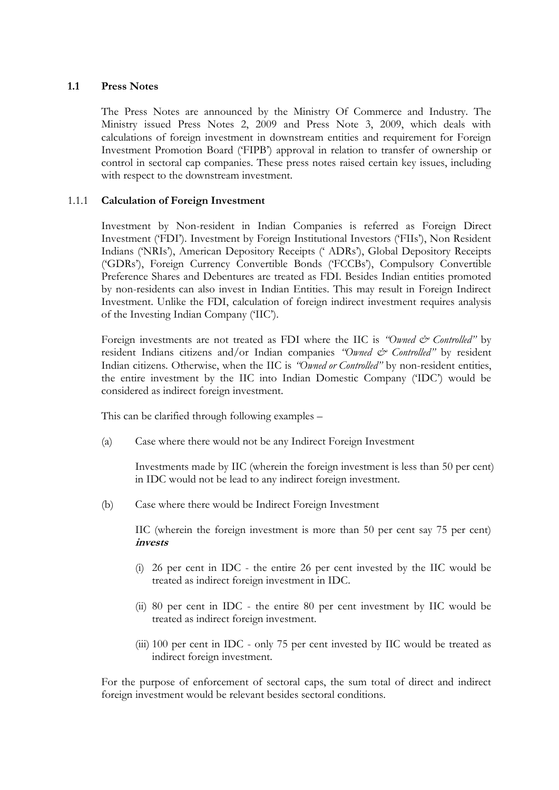### **1.1 Press Notes**

The Press Notes are announced by the Ministry Of Commerce and Industry. The Ministry issued Press Notes 2, 2009 and Press Note 3, 2009, which deals with calculations of foreign investment in downstream entities and requirement for Foreign Investment Promotion Board ("FIPB") approval in relation to transfer of ownership or control in sectoral cap companies. These press notes raised certain key issues, including with respect to the downstream investment.

### 1.1.1 **Calculation of Foreign Investment**

Investment by Non-resident in Indian Companies is referred as Foreign Direct Investment ("FDI"). Investment by Foreign Institutional Investors ("FIIs"), Non Resident Indians ("NRIs"), American Depository Receipts (" ADRs"), Global Depository Receipts ("GDRs"), Foreign Currency Convertible Bonds ("FCCBs"), Compulsory Convertible Preference Shares and Debentures are treated as FDI. Besides Indian entities promoted by non-residents can also invest in Indian Entities. This may result in Foreign Indirect Investment. Unlike the FDI, calculation of foreign indirect investment requires analysis of the Investing Indian Company ("IIC").

Foreign investments are not treated as FDI where the IIC is *"Owned & Controlled"* by resident Indians citizens and/or Indian companies "Owned & Controlled" by resident Indian citizens. Otherwise, when the IIC is *"Owned or Controlled"* by non-resident entities, the entire investment by the IIC into Indian Domestic Company ("IDC") would be considered as indirect foreign investment.

This can be clarified through following examples –

(a) Case where there would not be any Indirect Foreign Investment

Investments made by IIC (wherein the foreign investment is less than 50 per cent) in IDC would not be lead to any indirect foreign investment.

(b) Case where there would be Indirect Foreign Investment

IIC (wherein the foreign investment is more than 50 per cent say 75 per cent) **invests**

- (i) 26 per cent in IDC the entire 26 per cent invested by the IIC would be treated as indirect foreign investment in IDC.
- (ii) 80 per cent in IDC the entire 80 per cent investment by IIC would be treated as indirect foreign investment.
- (iii) 100 per cent in IDC only 75 per cent invested by IIC would be treated as indirect foreign investment.

For the purpose of enforcement of sectoral caps, the sum total of direct and indirect foreign investment would be relevant besides sectoral conditions.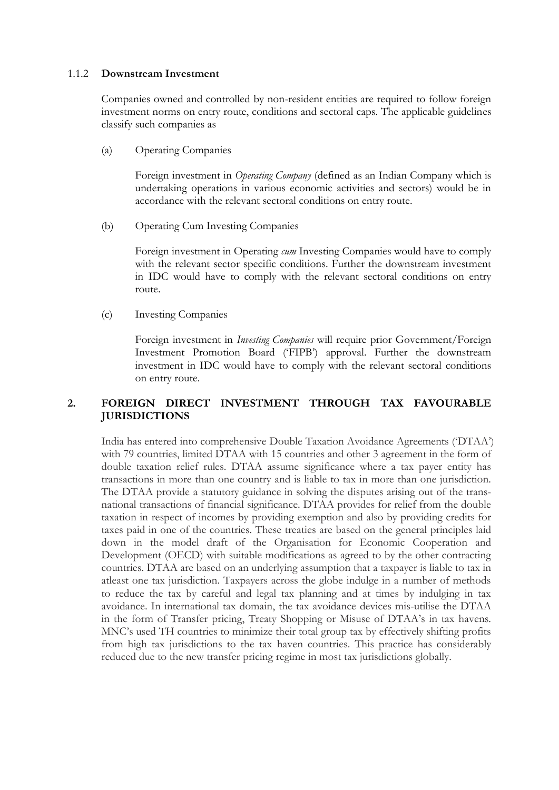#### 1.1.2 **Downstream Investment**

Companies owned and controlled by non-resident entities are required to follow foreign investment norms on entry route, conditions and sectoral caps. The applicable guidelines classify such companies as

(a) Operating Companies

Foreign investment in *Operating Company* (defined as an Indian Company which is undertaking operations in various economic activities and sectors) would be in accordance with the relevant sectoral conditions on entry route.

(b) Operating Cum Investing Companies

Foreign investment in Operating *cum* Investing Companies would have to comply with the relevant sector specific conditions. Further the downstream investment in IDC would have to comply with the relevant sectoral conditions on entry route.

(c) Investing Companies

Foreign investment in *Investing Companies* will require prior Government/Foreign Investment Promotion Board ("FIPB") approval. Further the downstream investment in IDC would have to comply with the relevant sectoral conditions on entry route.

# **2. FOREIGN DIRECT INVESTMENT THROUGH TAX FAVOURABLE JURISDICTIONS**

India has entered into comprehensive Double Taxation Avoidance Agreements ("DTAA") with 79 countries, limited DTAA with 15 countries and other 3 agreement in the form of double taxation relief rules. DTAA assume significance where a tax payer entity has transactions in more than one country and is liable to tax in more than one jurisdiction. The DTAA provide a statutory guidance in solving the disputes arising out of the transnational transactions of financial significance. DTAA provides for relief from the double taxation in respect of incomes by providing exemption and also by providing credits for taxes paid in one of the countries. These treaties are based on the general principles laid down in the model draft of the Organisation for Economic Cooperation and Development (OECD) with suitable modifications as agreed to by the other contracting countries. DTAA are based on an underlying assumption that a taxpayer is liable to tax in atleast one tax jurisdiction. Taxpayers across the globe indulge in a number of methods to reduce the tax by careful and legal tax planning and at times by indulging in tax avoidance. In international tax domain, the tax avoidance devices mis-utilise the DTAA in the form of Transfer pricing, Treaty Shopping or Misuse of DTAA's in tax havens. MNC"s used TH countries to minimize their total group tax by effectively shifting profits from high tax jurisdictions to the tax haven countries. This practice has considerably reduced due to the new transfer pricing regime in most tax jurisdictions globally.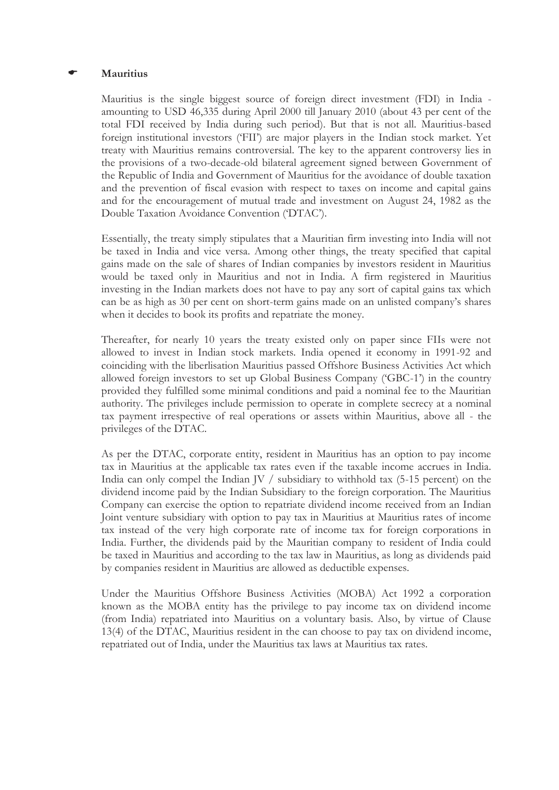#### **Mauritius**

Mauritius is the single biggest source of foreign direct investment (FDI) in India amounting to USD 46,335 during April 2000 till January 2010 (about 43 per cent of the total FDI received by India during such period). But that is not all. Mauritius-based foreign institutional investors ("FII") are major players in the Indian stock market. Yet treaty with Mauritius remains controversial. The key to the apparent controversy lies in the provisions of a two-decade-old bilateral agreement signed between Government of the Republic of India and Government of Mauritius for the avoidance of double taxation and the prevention of fiscal evasion with respect to taxes on income and capital gains and for the encouragement of mutual trade and investment on August 24, 1982 as the Double Taxation Avoidance Convention ("DTAC").

Essentially, the treaty simply stipulates that a Mauritian firm investing into India will not be taxed in India and vice versa. Among other things, the treaty specified that capital gains made on the sale of shares of Indian companies by investors resident in Mauritius would be taxed only in Mauritius and not in India. A firm registered in Mauritius investing in the Indian markets does not have to pay any sort of capital gains tax which can be as high as 30 per cent on short-term gains made on an unlisted company"s shares when it decides to book its profits and repatriate the money.

Thereafter, for nearly 10 years the treaty existed only on paper since FIIs were not allowed to invest in Indian stock markets. India opened it economy in 1991-92 and coinciding with the liberlisation Mauritius passed Offshore Business Activities Act which allowed foreign investors to set up Global Business Company ("GBC-1") in the country provided they fulfilled some minimal conditions and paid a nominal fee to the Mauritian authority. The privileges include permission to operate in complete secrecy at a nominal tax payment irrespective of real operations or assets within Mauritius, above all - the privileges of the DTAC.

As per the DTAC, corporate entity, resident in Mauritius has an option to pay income tax in Mauritius at the applicable tax rates even if the taxable income accrues in India. India can only compel the Indian JV / subsidiary to withhold tax (5-15 percent) on the dividend income paid by the Indian Subsidiary to the foreign corporation. The Mauritius Company can exercise the option to repatriate dividend income received from an Indian Joint venture subsidiary with option to pay tax in Mauritius at Mauritius rates of income tax instead of the very high corporate rate of income tax for foreign corporations in India. Further, the dividends paid by the Mauritian company to resident of India could be taxed in Mauritius and according to the tax law in Mauritius, as long as dividends paid by companies resident in Mauritius are allowed as deductible expenses.

Under the Mauritius Offshore Business Activities (MOBA) Act 1992 a corporation known as the MOBA entity has the privilege to pay income tax on dividend income (from India) repatriated into Mauritius on a voluntary basis. Also, by virtue of Clause 13(4) of the DTAC, Mauritius resident in the can choose to pay tax on dividend income, repatriated out of India, under the Mauritius tax laws at Mauritius tax rates.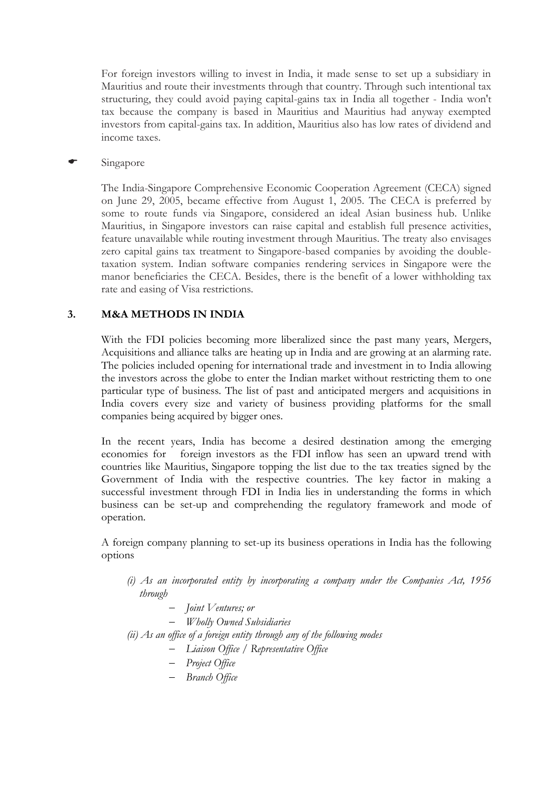For foreign investors willing to invest in India, it made sense to set up a subsidiary in Mauritius and route their investments through that country. Through such intentional tax structuring, they could avoid paying capital-gains tax in India all together - India won't tax because the company is based in Mauritius and Mauritius had anyway exempted investors from capital-gains tax. In addition, Mauritius also has low rates of dividend and income taxes.

### Singapore

The India-Singapore Comprehensive Economic Cooperation Agreement (CECA) signed on June 29, 2005, became effective from August 1, 2005. The CECA is preferred by some to route funds via Singapore, considered an ideal Asian business hub. Unlike Mauritius, in Singapore investors can raise capital and establish full presence activities, feature unavailable while routing investment through Mauritius. The treaty also envisages zero capital gains tax treatment to Singapore-based companies by avoiding the doubletaxation system. Indian software companies rendering services in Singapore were the manor beneficiaries the CECA. Besides, there is the benefit of a lower withholding tax rate and easing of Visa restrictions.

## **3. M&A METHODS IN INDIA**

With the FDI policies becoming more liberalized since the past many years, Mergers, Acquisitions and alliance talks are heating up in India and are growing at an alarming rate. The policies included opening for international trade and investment in to India allowing the investors across the globe to enter the Indian market without restricting them to one particular type of business. The list of past and anticipated mergers and acquisitions in India covers every size and variety of business providing platforms for the small companies being acquired by bigger ones.

In the recent years, India has become a desired destination among the emerging economies for foreign investors as the FDI inflow has seen an upward trend with countries like Mauritius, Singapore topping the list due to the tax treaties signed by the Government of India with the respective countries. The key factor in making a successful investment through FDI in India lies in understanding the forms in which business can be set-up and comprehending the regulatory framework and mode of operation.

A foreign company planning to set-up its business operations in India has the following options

- *(i) As an incorporated entity by incorporating a company under the Companies Act, 1956 through*
	- *Joint Ventures; or*
	- *Wholly Owned Subsidiaries*
- *(ii) As an office of a foreign entity through any of the following modes*
	- *Liaison Office / Representative Office*
	- *Project Office*
	- *Branch Office*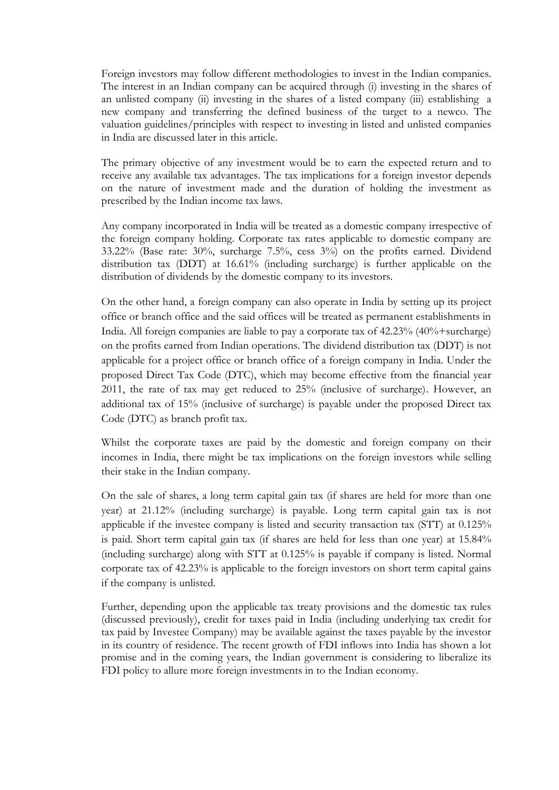Foreign investors may follow different methodologies to invest in the Indian companies. The interest in an Indian company can be acquired through (i) investing in the shares of an unlisted company (ii) investing in the shares of a listed company (iii) establishing a new company and transferring the defined business of the target to a newco. The valuation guidelines/principles with respect to investing in listed and unlisted companies in India are discussed later in this article.

The primary objective of any investment would be to earn the expected return and to receive any available tax advantages. The tax implications for a foreign investor depends on the nature of investment made and the duration of holding the investment as prescribed by the Indian income tax laws.

Any company incorporated in India will be treated as a domestic company irrespective of the foreign company holding. Corporate tax rates applicable to domestic company are 33.22% (Base rate: 30%, surcharge 7.5%, cess 3%) on the profits earned. Dividend distribution tax (DDT) at 16.61% (including surcharge) is further applicable on the distribution of dividends by the domestic company to its investors.

On the other hand, a foreign company can also operate in India by setting up its project office or branch office and the said offices will be treated as permanent establishments in India. All foreign companies are liable to pay a corporate tax of 42.23% (40%+surcharge) on the profits earned from Indian operations. The dividend distribution tax (DDT) is not applicable for a project office or branch office of a foreign company in India. Under the proposed Direct Tax Code (DTC), which may become effective from the financial year 2011, the rate of tax may get reduced to 25% (inclusive of surcharge). However, an additional tax of 15% (inclusive of surcharge) is payable under the proposed Direct tax Code (DTC) as branch profit tax.

Whilst the corporate taxes are paid by the domestic and foreign company on their incomes in India, there might be tax implications on the foreign investors while selling their stake in the Indian company.

On the sale of shares, a long term capital gain tax (if shares are held for more than one year) at 21.12% (including surcharge) is payable. Long term capital gain tax is not applicable if the investee company is listed and security transaction tax (STT) at 0.125% is paid. Short term capital gain tax (if shares are held for less than one year) at 15.84% (including surcharge) along with STT at 0.125% is payable if company is listed. Normal corporate tax of 42.23% is applicable to the foreign investors on short term capital gains if the company is unlisted.

Further, depending upon the applicable tax treaty provisions and the domestic tax rules (discussed previously), credit for taxes paid in India (including underlying tax credit for tax paid by Investee Company) may be available against the taxes payable by the investor in its country of residence. The recent growth of FDI inflows into India has shown a lot promise and in the coming years, the Indian government is considering to liberalize its FDI policy to allure more foreign investments in to the Indian economy.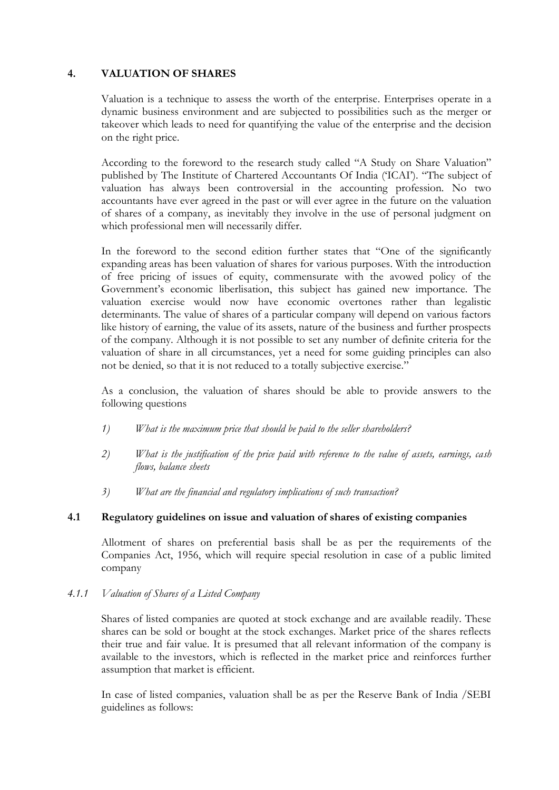### **4. VALUATION OF SHARES**

Valuation is a technique to assess the worth of the enterprise. Enterprises operate in a dynamic business environment and are subjected to possibilities such as the merger or takeover which leads to need for quantifying the value of the enterprise and the decision on the right price.

According to the foreword to the research study called "A Study on Share Valuation" published by The Institute of Chartered Accountants Of India ("ICAI"). "The subject of valuation has always been controversial in the accounting profession. No two accountants have ever agreed in the past or will ever agree in the future on the valuation of shares of a company, as inevitably they involve in the use of personal judgment on which professional men will necessarily differ.

In the foreword to the second edition further states that "One of the significantly expanding areas has been valuation of shares for various purposes. With the introduction of free pricing of issues of equity, commensurate with the avowed policy of the Government's economic liberlisation, this subject has gained new importance. The valuation exercise would now have economic overtones rather than legalistic determinants. The value of shares of a particular company will depend on various factors like history of earning, the value of its assets, nature of the business and further prospects of the company. Although it is not possible to set any number of definite criteria for the valuation of share in all circumstances, yet a need for some guiding principles can also not be denied, so that it is not reduced to a totally subjective exercise."

As a conclusion, the valuation of shares should be able to provide answers to the following questions

- *1) What is the maximum price that should be paid to the seller shareholders?*
- *2) What is the justification of the price paid with reference to the value of assets, earnings, cash flows, balance sheets*
- *3) What are the financial and regulatory implications of such transaction?*

### **4.1 Regulatory guidelines on issue and valuation of shares of existing companies**

Allotment of shares on preferential basis shall be as per the requirements of the Companies Act, 1956, which will require special resolution in case of a public limited company

### *4.1.1 Valuation of Shares of a Listed Company*

Shares of listed companies are quoted at stock exchange and are available readily. These shares can be sold or bought at the stock exchanges. Market price of the shares reflects their true and fair value. It is presumed that all relevant information of the company is available to the investors, which is reflected in the market price and reinforces further assumption that market is efficient.

In case of listed companies, valuation shall be as per the Reserve Bank of India /SEBI guidelines as follows: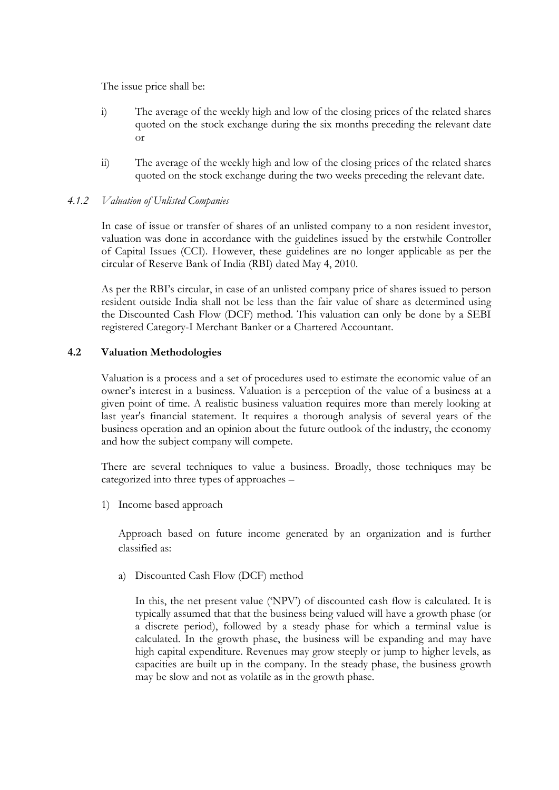The issue price shall be:

- i) The average of the weekly high and low of the closing prices of the related shares quoted on the stock exchange during the six months preceding the relevant date or
- ii) The average of the weekly high and low of the closing prices of the related shares quoted on the stock exchange during the two weeks preceding the relevant date.

### *4.1.2 Valuation of Unlisted Companies*

In case of issue or transfer of shares of an unlisted company to a non resident investor, valuation was done in accordance with the guidelines issued by the erstwhile Controller of Capital Issues (CCI). However, these guidelines are no longer applicable as per the circular of Reserve Bank of India (RBI) dated May 4, 2010.

As per the RBI"s circular, in case of an unlisted company price of shares issued to person resident outside India shall not be less than the fair value of share as determined using the Discounted Cash Flow (DCF) method. This valuation can only be done by a SEBI registered Category-I Merchant Banker or a Chartered Accountant.

### **4.2 Valuation Methodologies**

Valuation is a process and a set of procedures used to estimate the economic value of an owner"s interest in a business. Valuation is a perception of the value of a business at a given point of time. A realistic business valuation requires more than merely looking at last year's financial statement. It requires a thorough analysis of several years of the business operation and an opinion about the future outlook of the industry, the economy and how the subject company will compete.

There are several techniques to value a business. Broadly, those techniques may be categorized into three types of approaches –

1) Income based approach

Approach based on future income generated by an organization and is further classified as:

a) Discounted Cash Flow (DCF) method

In this, the net present value ("NPV") of discounted cash flow is calculated. It is typically assumed that that the business being valued will have a growth phase (or a discrete period), followed by a steady phase for which a terminal value is calculated. In the growth phase, the business will be expanding and may have high capital expenditure. Revenues may grow steeply or jump to higher levels, as capacities are built up in the company. In the steady phase, the business growth may be slow and not as volatile as in the growth phase.